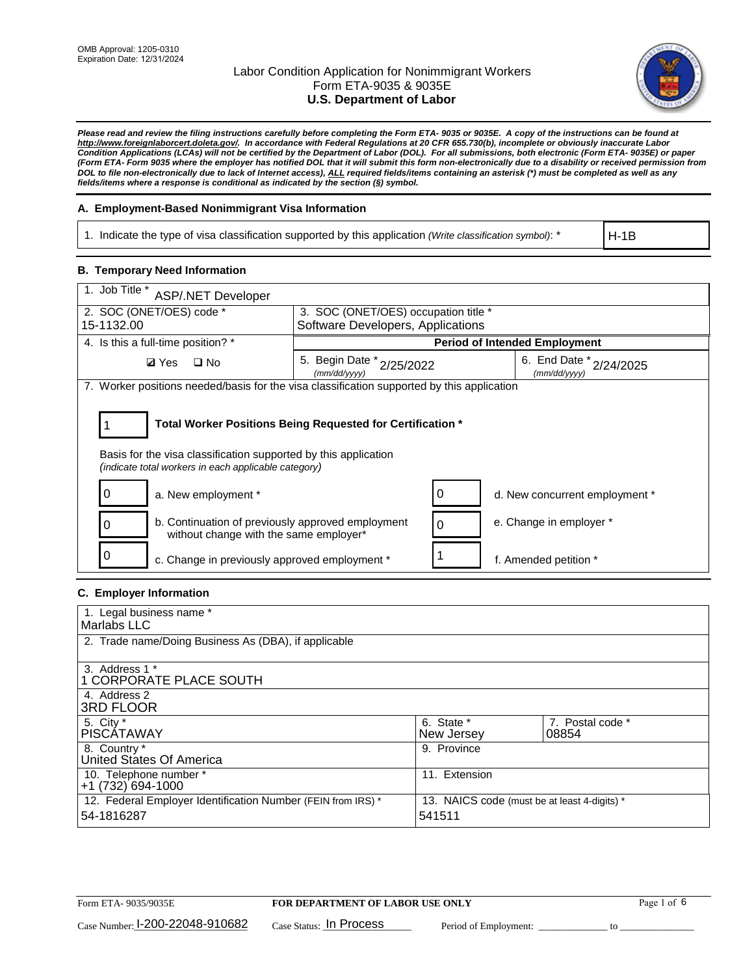

*Please read and review the filing instructions carefully before completing the Form ETA- 9035 or 9035E. A copy of the instructions can be found at http://www.foreignlaborcert.doleta.gov/. In accordance with Federal Regulations at 20 CFR 655.730(b), incomplete or obviously inaccurate Labor Condition Applications (LCAs) will not be certified by the Department of Labor (DOL). For all submissions, both electronic (Form ETA- 9035E) or paper (Form ETA- Form 9035 where the employer has notified DOL that it will submit this form non-electronically due to a disability or received permission from DOL to file non-electronically due to lack of Internet access), ALL required fields/items containing an asterisk (\*) must be completed as well as any fields/items where a response is conditional as indicated by the section (§) symbol.* 

### **A. Employment-Based Nonimmigrant Visa Information**

1. Indicate the type of visa classification supported by this application *(Write classification symbol)*: \*

H-1B

#### **B. Temporary Need Information**

| 1. Job Title *<br><b>ASP/.NET Developer</b>                                                                                                                                           |                                           |   |                                             |  |  |
|---------------------------------------------------------------------------------------------------------------------------------------------------------------------------------------|-------------------------------------------|---|---------------------------------------------|--|--|
| 2. SOC (ONET/OES) code *<br>3. SOC (ONET/OES) occupation title *                                                                                                                      |                                           |   |                                             |  |  |
| 15-1132.00                                                                                                                                                                            | Software Developers, Applications         |   |                                             |  |  |
| 4. Is this a full-time position? *                                                                                                                                                    | <b>Period of Intended Employment</b>      |   |                                             |  |  |
| $\square$ No<br><b>Ø</b> Yes                                                                                                                                                          | 5. Begin Date * 2/25/2022<br>(mm/dd/yyyy) |   | 6. End Date $x_{2/24/2025}$<br>(mm/dd/yyyy) |  |  |
| 7. Worker positions needed/basis for the visa classification supported by this application                                                                                            |                                           |   |                                             |  |  |
| Total Worker Positions Being Requested for Certification *<br>Basis for the visa classification supported by this application<br>(indicate total workers in each applicable category) |                                           |   |                                             |  |  |
| a. New employment *                                                                                                                                                                   |                                           |   | d. New concurrent employment *              |  |  |
| b. Continuation of previously approved employment<br>without change with the same employer*                                                                                           |                                           | 0 | e. Change in employer *                     |  |  |
| 0<br>c. Change in previously approved employment *                                                                                                                                    |                                           |   | f. Amended petition *                       |  |  |

### **C. Employer Information**

| 1. Legal business name *                                                   |                                                        |                           |
|----------------------------------------------------------------------------|--------------------------------------------------------|---------------------------|
| Marlabs LLC                                                                |                                                        |                           |
| 2. Trade name/Doing Business As (DBA), if applicable                       |                                                        |                           |
| 3. Address 1 *<br>1 CORPORATE PLACE SOUTH<br>4. Address 2                  |                                                        |                           |
| <b>3RD FLOOR</b>                                                           |                                                        |                           |
| 5. City *<br><b>PISCÁTAWAY</b>                                             | 6. State *<br>New Jersey                               | 7. Postal code *<br>08854 |
| 8. Country *<br>United States Of America                                   | 9. Province                                            |                           |
| 10. Telephone number *<br>$+1(732)694-1000$                                | 11. Extension                                          |                           |
| 12. Federal Employer Identification Number (FEIN from IRS) *<br>54-1816287 | 13. NAICS code (must be at least 4-digits) *<br>541511 |                           |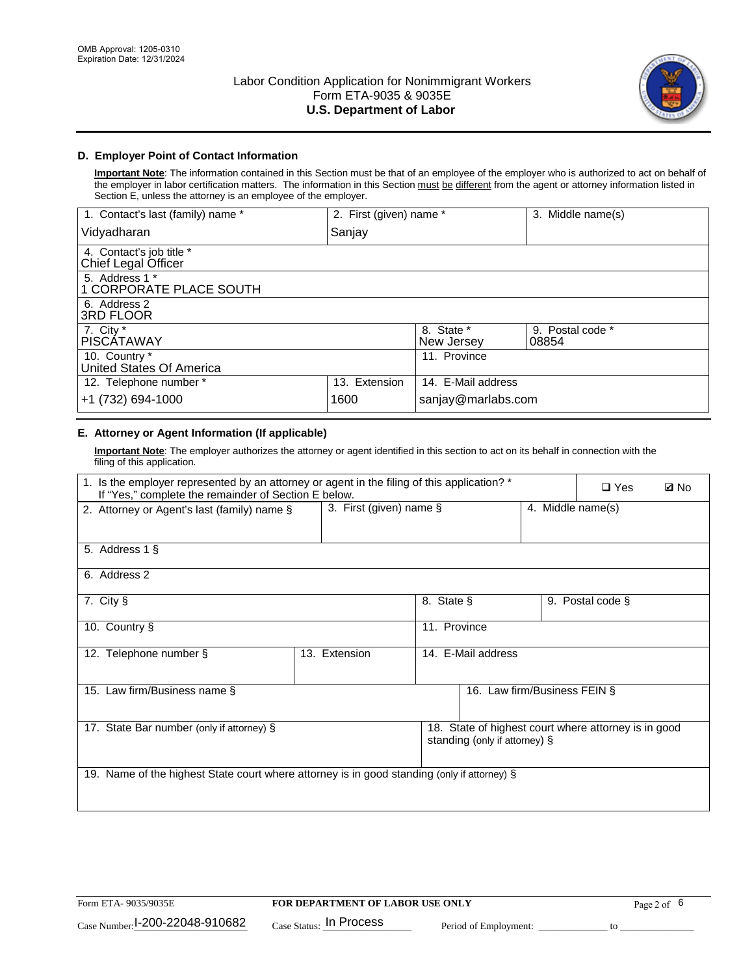

## **D. Employer Point of Contact Information**

**Important Note**: The information contained in this Section must be that of an employee of the employer who is authorized to act on behalf of the employer in labor certification matters. The information in this Section must be different from the agent or attorney information listed in Section E, unless the attorney is an employee of the employer.

| 1. Contact's last (family) name *               | 2. First (given) name * |                          | 3. Middle name(s)         |
|-------------------------------------------------|-------------------------|--------------------------|---------------------------|
| Vidyadharan                                     | Sanjay                  |                          |                           |
| 4. Contact's job title *<br>Chief Legal Officer |                         |                          |                           |
| 5. Address 1 *<br>1 CORPORATE PLACE SOUTH       |                         |                          |                           |
| 6. Address 2<br><b>3RD FLOOR</b>                |                         |                          |                           |
| 7. City *<br><b>PISCÁTAWAY</b>                  |                         | 8. State *<br>New Jersey | 9. Postal code *<br>08854 |
| 10. Country *<br>United States Of America       |                         | 11. Province             |                           |
| 12. Telephone number *                          | 13. Extension           | 14. E-Mail address       |                           |
| +1 (732) 694-1000                               | 1600                    | sanjay@marlabs.com       |                           |

# **E. Attorney or Agent Information (If applicable)**

**Important Note**: The employer authorizes the attorney or agent identified in this section to act on its behalf in connection with the filing of this application.

| 1. Is the employer represented by an attorney or agent in the filing of this application? *<br>If "Yes," complete the remainder of Section E below. |                         |              |                               |                   | $\square$ Yes                                        | <b>ØNo</b> |
|-----------------------------------------------------------------------------------------------------------------------------------------------------|-------------------------|--------------|-------------------------------|-------------------|------------------------------------------------------|------------|
| 2. Attorney or Agent's last (family) name §                                                                                                         | 3. First (given) name § |              |                               | 4. Middle name(s) |                                                      |            |
| 5. Address 1 §                                                                                                                                      |                         |              |                               |                   |                                                      |            |
| 6. Address 2                                                                                                                                        |                         |              |                               |                   |                                                      |            |
| 7. City §                                                                                                                                           |                         | 8. State §   |                               |                   | 9. Postal code §                                     |            |
| 10. Country §                                                                                                                                       |                         | 11. Province |                               |                   |                                                      |            |
| 12. Telephone number §                                                                                                                              | 13. Extension           |              | 14. E-Mail address            |                   |                                                      |            |
| 15. Law firm/Business name §                                                                                                                        |                         |              | 16. Law firm/Business FEIN §  |                   |                                                      |            |
| 17. State Bar number (only if attorney) §                                                                                                           |                         |              | standing (only if attorney) § |                   | 18. State of highest court where attorney is in good |            |
| 19. Name of the highest State court where attorney is in good standing (only if attorney) §                                                         |                         |              |                               |                   |                                                      |            |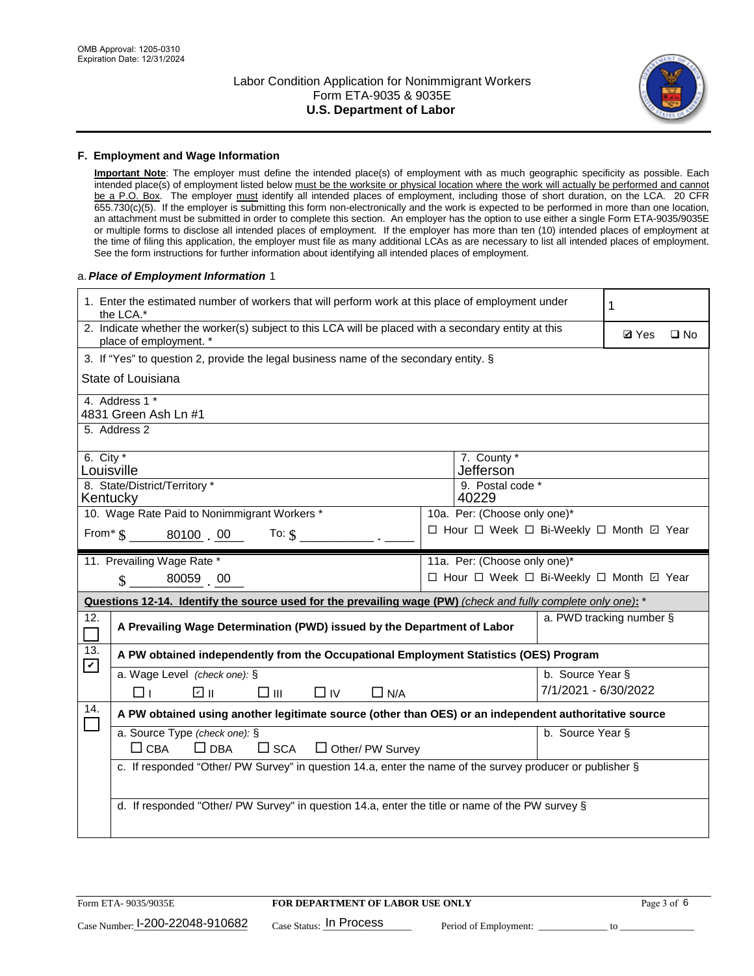

#### **F. Employment and Wage Information**

**Important Note**: The employer must define the intended place(s) of employment with as much geographic specificity as possible. Each intended place(s) of employment listed below must be the worksite or physical location where the work will actually be performed and cannot be a P.O. Box. The employer must identify all intended places of employment, including those of short duration, on the LCA. 20 CFR 655.730(c)(5). If the employer is submitting this form non-electronically and the work is expected to be performed in more than one location, an attachment must be submitted in order to complete this section. An employer has the option to use either a single Form ETA-9035/9035E or multiple forms to disclose all intended places of employment. If the employer has more than ten (10) intended places of employment at the time of filing this application, the employer must file as many additional LCAs as are necessary to list all intended places of employment. See the form instructions for further information about identifying all intended places of employment.

#### a.*Place of Employment Information* 1

|                                                                              | 1. Enter the estimated number of workers that will perform work at this place of employment under<br>the LCA.*                 |  | 1                                        |                          |  |              |  |
|------------------------------------------------------------------------------|--------------------------------------------------------------------------------------------------------------------------------|--|------------------------------------------|--------------------------|--|--------------|--|
|                                                                              | 2. Indicate whether the worker(s) subject to this LCA will be placed with a secondary entity at this<br>place of employment. * |  |                                          |                          |  | $\square$ No |  |
|                                                                              | 3. If "Yes" to question 2, provide the legal business name of the secondary entity. §                                          |  |                                          |                          |  |              |  |
|                                                                              | State of Louisiana                                                                                                             |  |                                          |                          |  |              |  |
|                                                                              | 4. Address 1 *<br>4831 Green Ash Ln #1                                                                                         |  |                                          |                          |  |              |  |
|                                                                              | 5. Address 2                                                                                                                   |  |                                          |                          |  |              |  |
|                                                                              | 6. City $*$<br>7. County *<br>Jefferson<br>Louisville                                                                          |  |                                          |                          |  |              |  |
| 8. State/District/Territory *<br>9. Postal code *<br>40229<br>Kentucky       |                                                                                                                                |  |                                          |                          |  |              |  |
| 10. Wage Rate Paid to Nonimmigrant Workers *<br>10a. Per: (Choose only one)* |                                                                                                                                |  |                                          |                          |  |              |  |
|                                                                              | □ Hour □ Week □ Bi-Weekly □ Month □ Year<br>From * \$ 80100 00<br>To: $$$                                                      |  |                                          |                          |  |              |  |
|                                                                              | 11. Prevailing Wage Rate *<br>11a. Per: (Choose only one)*                                                                     |  |                                          |                          |  |              |  |
|                                                                              | 80059 00<br>$\mathcal{S}$                                                                                                      |  | □ Hour □ Week □ Bi-Weekly □ Month ☑ Year |                          |  |              |  |
|                                                                              | Questions 12-14. Identify the source used for the prevailing wage (PW) (check and fully complete only one): *                  |  |                                          |                          |  |              |  |
| 12.                                                                          | A Prevailing Wage Determination (PWD) issued by the Department of Labor                                                        |  |                                          | a. PWD tracking number § |  |              |  |
| 13.                                                                          | A PW obtained independently from the Occupational Employment Statistics (OES) Program                                          |  |                                          |                          |  |              |  |
| $\blacktriangledown$                                                         | a. Wage Level (check one): §                                                                                                   |  |                                          | b. Source Year §         |  |              |  |
|                                                                              | ☑ ॥<br>□Ⅲ<br>$\Box$ IV<br>$\Box$ N/A<br>l 11                                                                                   |  |                                          | 7/1/2021 - 6/30/2022     |  |              |  |
| 14.                                                                          | A PW obtained using another legitimate source (other than OES) or an independent authoritative source                          |  |                                          |                          |  |              |  |
|                                                                              | a. Source Type (check one): §<br>$\Box$ CBA<br>$\Box$ DBA<br>$\Box$ SCA<br>$\Box$ Other/ PW Survey                             |  |                                          | b. Source Year §         |  |              |  |
|                                                                              | c. If responded "Other/ PW Survey" in question 14.a, enter the name of the survey producer or publisher §                      |  |                                          |                          |  |              |  |
|                                                                              | d. If responded "Other/ PW Survey" in question 14.a, enter the title or name of the PW survey §                                |  |                                          |                          |  |              |  |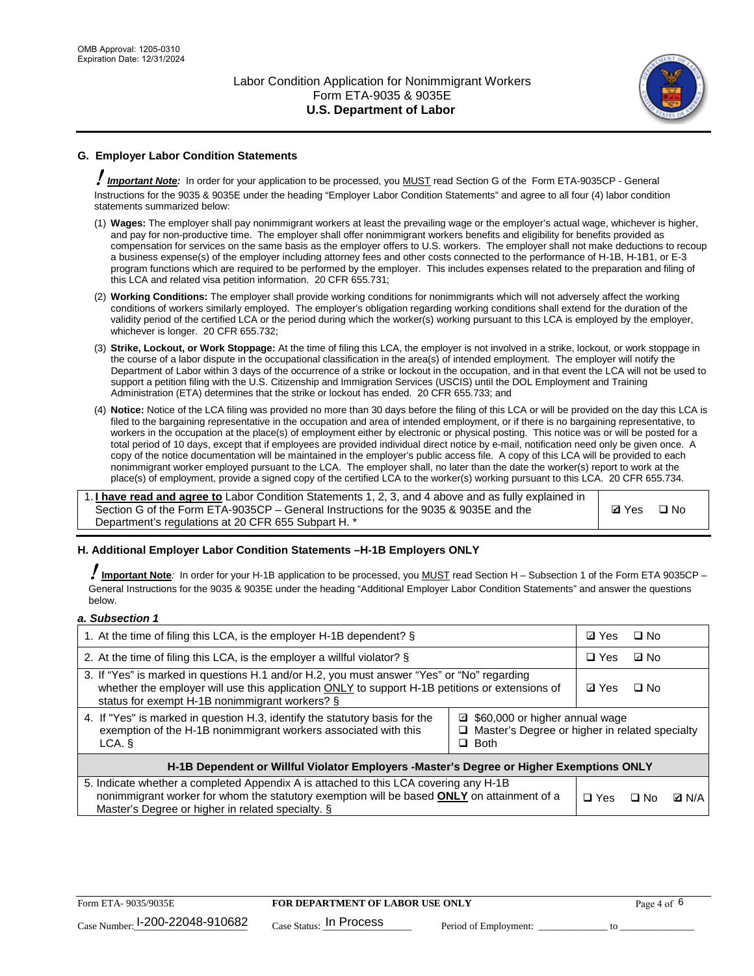

## **G. Employer Labor Condition Statements**

! *Important Note:* In order for your application to be processed, you MUST read Section G of the Form ETA-9035CP - General Instructions for the 9035 & 9035E under the heading "Employer Labor Condition Statements" and agree to all four (4) labor condition statements summarized below:

- (1) **Wages:** The employer shall pay nonimmigrant workers at least the prevailing wage or the employer's actual wage, whichever is higher, and pay for non-productive time. The employer shall offer nonimmigrant workers benefits and eligibility for benefits provided as compensation for services on the same basis as the employer offers to U.S. workers. The employer shall not make deductions to recoup a business expense(s) of the employer including attorney fees and other costs connected to the performance of H-1B, H-1B1, or E-3 program functions which are required to be performed by the employer. This includes expenses related to the preparation and filing of this LCA and related visa petition information. 20 CFR 655.731;
- (2) **Working Conditions:** The employer shall provide working conditions for nonimmigrants which will not adversely affect the working conditions of workers similarly employed. The employer's obligation regarding working conditions shall extend for the duration of the validity period of the certified LCA or the period during which the worker(s) working pursuant to this LCA is employed by the employer, whichever is longer. 20 CFR 655.732;
- (3) **Strike, Lockout, or Work Stoppage:** At the time of filing this LCA, the employer is not involved in a strike, lockout, or work stoppage in the course of a labor dispute in the occupational classification in the area(s) of intended employment. The employer will notify the Department of Labor within 3 days of the occurrence of a strike or lockout in the occupation, and in that event the LCA will not be used to support a petition filing with the U.S. Citizenship and Immigration Services (USCIS) until the DOL Employment and Training Administration (ETA) determines that the strike or lockout has ended. 20 CFR 655.733; and
- (4) **Notice:** Notice of the LCA filing was provided no more than 30 days before the filing of this LCA or will be provided on the day this LCA is filed to the bargaining representative in the occupation and area of intended employment, or if there is no bargaining representative, to workers in the occupation at the place(s) of employment either by electronic or physical posting. This notice was or will be posted for a total period of 10 days, except that if employees are provided individual direct notice by e-mail, notification need only be given once. A copy of the notice documentation will be maintained in the employer's public access file. A copy of this LCA will be provided to each nonimmigrant worker employed pursuant to the LCA. The employer shall, no later than the date the worker(s) report to work at the place(s) of employment, provide a signed copy of the certified LCA to the worker(s) working pursuant to this LCA. 20 CFR 655.734.

1. **I have read and agree to** Labor Condition Statements 1, 2, 3, and 4 above and as fully explained in Section G of the Form ETA-9035CP – General Instructions for the 9035 & 9035E and the Department's regulations at 20 CFR 655 Subpart H. \*

**Ø**Yes ロNo

#### **H. Additional Employer Labor Condition Statements –H-1B Employers ONLY**

!**Important Note***:* In order for your H-1B application to be processed, you MUST read Section H – Subsection 1 of the Form ETA 9035CP – General Instructions for the 9035 & 9035E under the heading "Additional Employer Labor Condition Statements" and answer the questions below.

#### *a. Subsection 1*

| 1. At the time of filing this LCA, is the employer H-1B dependent? §                                                                                                                                                                           |                                                                                                     | ⊡ Yes | $\square$ No |  |
|------------------------------------------------------------------------------------------------------------------------------------------------------------------------------------------------------------------------------------------------|-----------------------------------------------------------------------------------------------------|-------|--------------|--|
| 2. At the time of filing this LCA, is the employer a willful violator? $\S$                                                                                                                                                                    |                                                                                                     |       | ⊡ No         |  |
| 3. If "Yes" is marked in questions H.1 and/or H.2, you must answer "Yes" or "No" regarding<br>whether the employer will use this application ONLY to support H-1B petitions or extensions of<br>status for exempt H-1B nonimmigrant workers? § |                                                                                                     |       | $\Box$ No    |  |
| 4. If "Yes" is marked in question H.3, identify the statutory basis for the<br>exemption of the H-1B nonimmigrant workers associated with this<br>LCA. §                                                                                       | ■ \$60,000 or higher annual wage<br>□ Master's Degree or higher in related specialty<br>$\Box$ Both |       |              |  |
| H-1B Dependent or Willful Violator Employers -Master's Degree or Higher Exemptions ONLY                                                                                                                                                        |                                                                                                     |       |              |  |
| 5. Indicate whether a completed Appendix A is attached to this LCA covering any H-1B<br>nonimmigrant worker for whom the statutory exemption will be based <b>ONLY</b> on attainment of a<br>Master's Degree or higher in related specialty. § | $\Box$ Yes                                                                                          | ⊡ No  | <b>Q</b> N/A |  |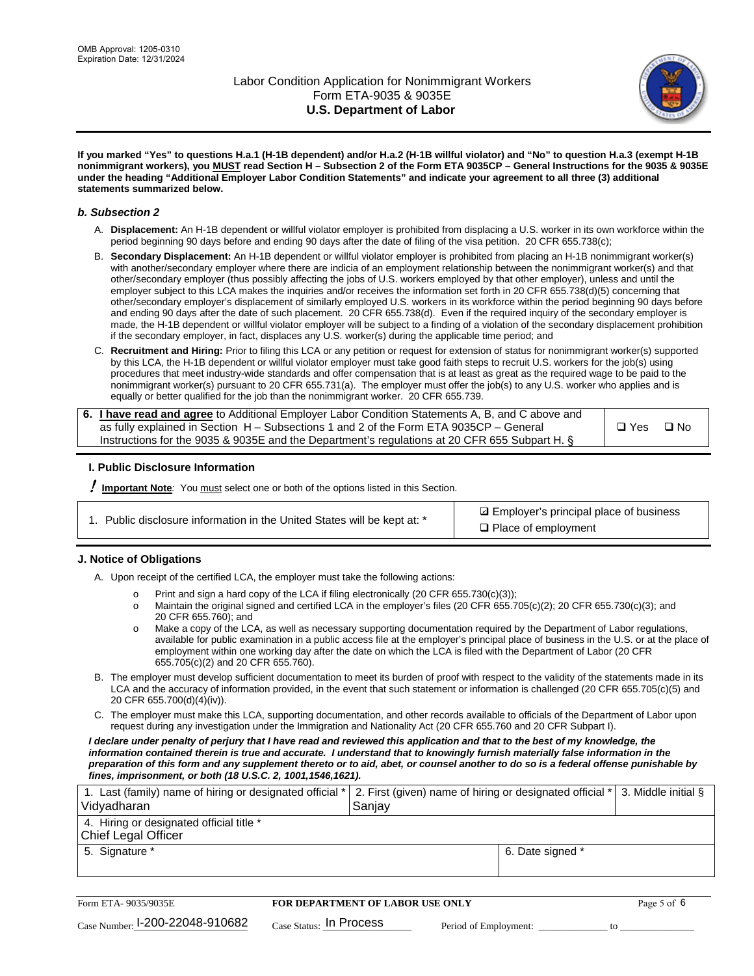

**If you marked "Yes" to questions H.a.1 (H-1B dependent) and/or H.a.2 (H-1B willful violator) and "No" to question H.a.3 (exempt H-1B nonimmigrant workers), you MUST read Section H – Subsection 2 of the Form ETA 9035CP – General Instructions for the 9035 & 9035E under the heading "Additional Employer Labor Condition Statements" and indicate your agreement to all three (3) additional statements summarized below.**

#### *b. Subsection 2*

- A. **Displacement:** An H-1B dependent or willful violator employer is prohibited from displacing a U.S. worker in its own workforce within the period beginning 90 days before and ending 90 days after the date of filing of the visa petition. 20 CFR 655.738(c);
- B. **Secondary Displacement:** An H-1B dependent or willful violator employer is prohibited from placing an H-1B nonimmigrant worker(s) with another/secondary employer where there are indicia of an employment relationship between the nonimmigrant worker(s) and that other/secondary employer (thus possibly affecting the jobs of U.S. workers employed by that other employer), unless and until the employer subject to this LCA makes the inquiries and/or receives the information set forth in 20 CFR 655.738(d)(5) concerning that other/secondary employer's displacement of similarly employed U.S. workers in its workforce within the period beginning 90 days before and ending 90 days after the date of such placement. 20 CFR 655.738(d). Even if the required inquiry of the secondary employer is made, the H-1B dependent or willful violator employer will be subject to a finding of a violation of the secondary displacement prohibition if the secondary employer, in fact, displaces any U.S. worker(s) during the applicable time period; and
- C. **Recruitment and Hiring:** Prior to filing this LCA or any petition or request for extension of status for nonimmigrant worker(s) supported by this LCA, the H-1B dependent or willful violator employer must take good faith steps to recruit U.S. workers for the job(s) using procedures that meet industry-wide standards and offer compensation that is at least as great as the required wage to be paid to the nonimmigrant worker(s) pursuant to 20 CFR 655.731(a). The employer must offer the job(s) to any U.S. worker who applies and is equally or better qualified for the job than the nonimmigrant worker. 20 CFR 655.739.

| 6. I have read and agree to Additional Employer Labor Condition Statements A, B, and C above and |       |           |
|--------------------------------------------------------------------------------------------------|-------|-----------|
| as fully explained in Section H – Subsections 1 and 2 of the Form ETA 9035CP – General           | □ Yes | $\Box$ No |
| Instructions for the 9035 & 9035E and the Department's regulations at 20 CFR 655 Subpart H. §    |       |           |

#### **I. Public Disclosure Information**

! **Important Note***:* You must select one or both of the options listed in this Section.

| 1. Public disclosure information in the United States will be kept at: * |  |  |  |  |  |  |  |
|--------------------------------------------------------------------------|--|--|--|--|--|--|--|
|--------------------------------------------------------------------------|--|--|--|--|--|--|--|

**sqrt** Employer's principal place of business □ Place of employment

#### **J. Notice of Obligations**

A. Upon receipt of the certified LCA, the employer must take the following actions:

- o Print and sign a hard copy of the LCA if filing electronically (20 CFR 655.730(c)(3));<br>
Maintain the original signed and certified LCA in the employer's files (20 CFR 655.7
- Maintain the original signed and certified LCA in the employer's files (20 CFR 655.705(c)(2); 20 CFR 655.730(c)(3); and 20 CFR 655.760); and
- o Make a copy of the LCA, as well as necessary supporting documentation required by the Department of Labor regulations, available for public examination in a public access file at the employer's principal place of business in the U.S. or at the place of employment within one working day after the date on which the LCA is filed with the Department of Labor (20 CFR 655.705(c)(2) and 20 CFR 655.760).
- B. The employer must develop sufficient documentation to meet its burden of proof with respect to the validity of the statements made in its LCA and the accuracy of information provided, in the event that such statement or information is challenged (20 CFR 655.705(c)(5) and 20 CFR 655.700(d)(4)(iv)).
- C. The employer must make this LCA, supporting documentation, and other records available to officials of the Department of Labor upon request during any investigation under the Immigration and Nationality Act (20 CFR 655.760 and 20 CFR Subpart I).

*I declare under penalty of perjury that I have read and reviewed this application and that to the best of my knowledge, the*  information contained therein is true and accurate. I understand that to knowingly furnish materially false information in the *preparation of this form and any supplement thereto or to aid, abet, or counsel another to do so is a federal offense punishable by fines, imprisonment, or both (18 U.S.C. 2, 1001,1546,1621).*

| 1. Last (family) name of hiring or designated official *   2. First (given) name of hiring or designated official *   3. Middle initial §<br>Vidyadharan | Saniav           |  |
|----------------------------------------------------------------------------------------------------------------------------------------------------------|------------------|--|
| 4. Hiring or designated official title *<br>Chief Legal Officer                                                                                          |                  |  |
| 5. Signature *                                                                                                                                           | 6. Date signed * |  |

| Form ETA- 9035/9035E                        | FOR DEPARTMENT OF LABOR USE ONLY    | Page 5 of 6           |  |
|---------------------------------------------|-------------------------------------|-----------------------|--|
| $_{\text{Case Number:}}$ I-200-22048-910682 | $_{\text{Case Status:}}$ In Process | Period of Employment: |  |